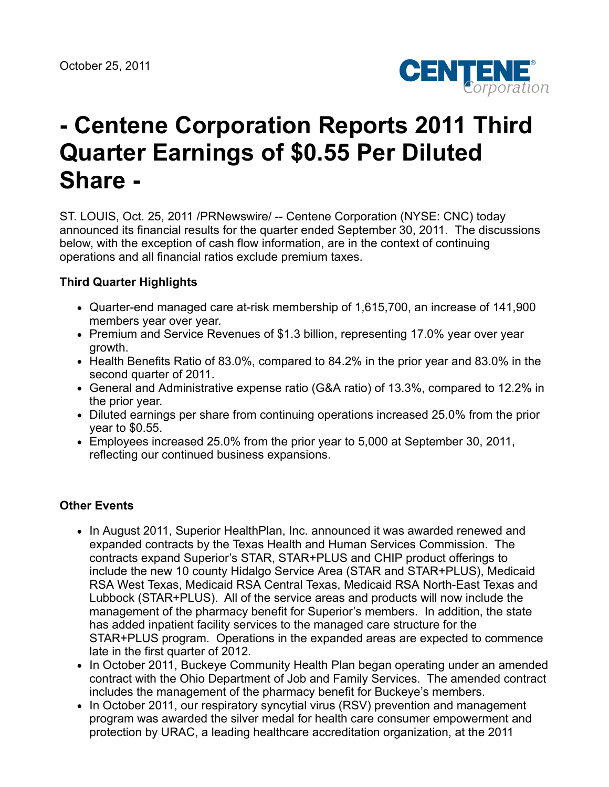

# **- Centene Corporation Reports 2011 Third Quarter Earnings of \$0.55 Per Diluted Share -**

ST. LOUIS, Oct. 25, 2011 /PRNewswire/ -- Centene Corporation (NYSE: CNC) today announced its financial results for the quarter ended September 30, 2011. The discussions below, with the exception of cash flow information, are in the context of continuing operations and all financial ratios exclude premium taxes.

# **Third Quarter Highlights**

- Quarter-end managed care at-risk membership of 1,615,700, an increase of 141,900 members year over year.
- Premium and Service Revenues of \$1.3 billion, representing 17.0% year over year growth.
- Health Benefits Ratio of 83.0%, compared to 84.2% in the prior year and 83.0% in the second quarter of 2011.
- General and Administrative expense ratio (G&A ratio) of 13.3%, compared to 12.2% in the prior year.
- Diluted earnings per share from continuing operations increased 25.0% from the prior year to \$0.55.
- Employees increased 25.0% from the prior year to 5,000 at September 30, 2011, reflecting our continued business expansions.

## **Other Events**

- In August 2011, Superior HealthPlan, Inc. announced it was awarded renewed and expanded contracts by the Texas Health and Human Services Commission. The contracts expand Superior's STAR, STAR+PLUS and CHIP product offerings to include the new 10 county Hidalgo Service Area (STAR and STAR+PLUS), Medicaid RSA West Texas, Medicaid RSA Central Texas, Medicaid RSA North-East Texas and Lubbock (STAR+PLUS). All of the service areas and products will now include the management of the pharmacy benefit for Superior's members. In addition, the state has added inpatient facility services to the managed care structure for the STAR+PLUS program. Operations in the expanded areas are expected to commence late in the first quarter of 2012.
- In October 2011, Buckeye Community Health Plan began operating under an amended contract with the Ohio Department of Job and Family Services. The amended contract includes the management of the pharmacy benefit for Buckeye's members.
- In October 2011, our respiratory syncytial virus (RSV) prevention and management program was awarded the silver medal for health care consumer empowerment and protection by URAC, a leading healthcare accreditation organization, at the 2011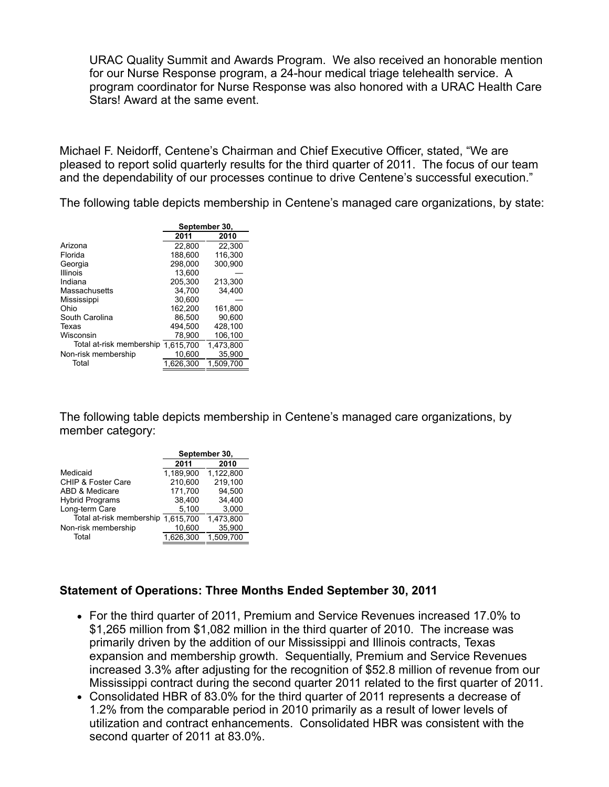URAC Quality Summit and Awards Program. We also received an honorable mention for our Nurse Response program, a 24-hour medical triage telehealth service. A program coordinator for Nurse Response was also honored with a URAC Health Care Stars! Award at the same event.

Michael F. Neidorff, Centene's Chairman and Chief Executive Officer, stated, "We are pleased to report solid quarterly results for the third quarter of 2011. The focus of our team and the dependability of our processes continue to drive Centene's successful execution."

The following table depicts membership in Centene's managed care organizations, by state:

|                          | September 30, |           |  |  |  |
|--------------------------|---------------|-----------|--|--|--|
|                          | 2011          | 2010      |  |  |  |
| Arizona                  | 22,800        | 22.300    |  |  |  |
| Florida                  | 188.600       | 116.300   |  |  |  |
| Georgia                  | 298,000       | 300,900   |  |  |  |
| <b>Illinois</b>          | 13,600        |           |  |  |  |
| Indiana                  | 205.300       | 213.300   |  |  |  |
| Massachusetts            | 34,700        | 34.400    |  |  |  |
| Mississippi              | 30.600        |           |  |  |  |
| Ohio                     | 162.200       | 161.800   |  |  |  |
| South Carolina           | 86.500        | 90.600    |  |  |  |
| Texas                    | 494.500       | 428.100   |  |  |  |
| Wisconsin                | 78.900        | 106.100   |  |  |  |
| Total at-risk membership | 1.615.700     | 1,473,800 |  |  |  |
| Non-risk membership      | 10.600        | 35.900    |  |  |  |
| Total                    | 1.626.300     | 1,509,700 |  |  |  |

The following table depicts membership in Centene's managed care organizations, by member category:

|                          | September 30, |           |  |  |  |
|--------------------------|---------------|-----------|--|--|--|
|                          | 2011          | 2010      |  |  |  |
| Medicaid                 | 1,189,900     | 1,122,800 |  |  |  |
| CHIP & Foster Care       | 210,600       | 219,100   |  |  |  |
| ABD & Medicare           | 171.700       | 94.500    |  |  |  |
| <b>Hybrid Programs</b>   | 38,400        | 34.400    |  |  |  |
| Long-term Care           | 5,100         | 3,000     |  |  |  |
| Total at-risk membership | 1.615.700     | 1,473,800 |  |  |  |
| Non-risk membership      | 10.600        | 35.900    |  |  |  |
| Total                    | 1,626,300     | 1,509,700 |  |  |  |

## **Statement of Operations: Three Months Ended September 30, 2011**

- For the third quarter of 2011, Premium and Service Revenues increased 17.0% to \$1,265 million from \$1,082 million in the third quarter of 2010. The increase was primarily driven by the addition of our Mississippi and Illinois contracts, Texas expansion and membership growth. Sequentially, Premium and Service Revenues increased 3.3% after adjusting for the recognition of \$52.8 million of revenue from our Mississippi contract during the second quarter 2011 related to the first quarter of 2011.
- Consolidated HBR of 83.0% for the third quarter of 2011 represents a decrease of 1.2% from the comparable period in 2010 primarily as a result of lower levels of utilization and contract enhancements. Consolidated HBR was consistent with the second quarter of 2011 at 83.0%.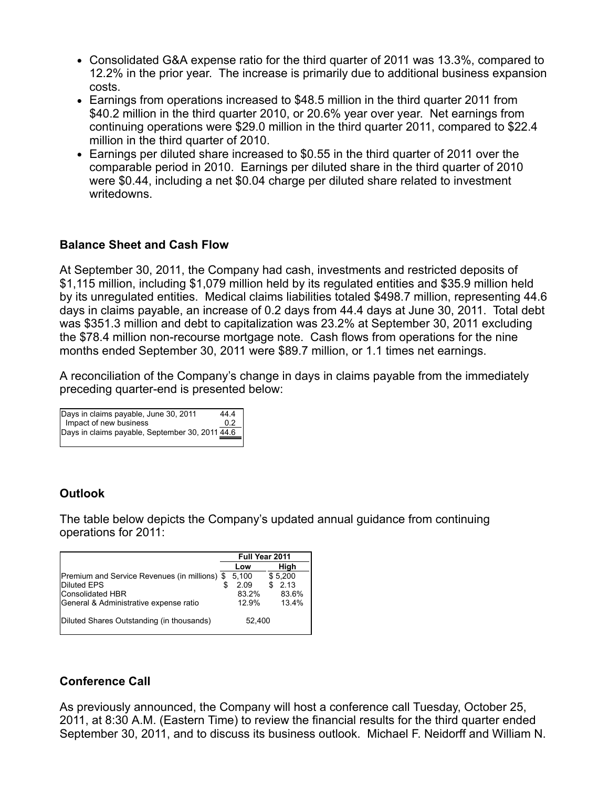- Consolidated G&A expense ratio for the third quarter of 2011 was 13.3%, compared to 12.2% in the prior year. The increase is primarily due to additional business expansion costs.
- Earnings from operations increased to \$48.5 million in the third quarter 2011 from \$40.2 million in the third quarter 2010, or 20.6% year over year. Net earnings from continuing operations were \$29.0 million in the third quarter 2011, compared to \$22.4 million in the third quarter of 2010.
- Earnings per diluted share increased to \$0.55 in the third quarter of 2011 over the comparable period in 2010. Earnings per diluted share in the third quarter of 2010 were \$0.44, including a net \$0.04 charge per diluted share related to investment writedowns.

## **Balance Sheet and Cash Flow**

At September 30, 2011, the Company had cash, investments and restricted deposits of \$1,115 million, including \$1,079 million held by its regulated entities and \$35.9 million held by its unregulated entities. Medical claims liabilities totaled \$498.7 million, representing 44.6 days in claims payable, an increase of 0.2 days from 44.4 days at June 30, 2011. Total debt was \$351.3 million and debt to capitalization was 23.2% at September 30, 2011 excluding the \$78.4 million non-recourse mortgage note. Cash flows from operations for the nine months ended September 30, 2011 were \$89.7 million, or 1.1 times net earnings.

A reconciliation of the Company's change in days in claims payable from the immediately preceding quarter-end is presented below:

| Days in claims payable, June 30, 2011           | 44.4 |
|-------------------------------------------------|------|
| Impact of new business                          |      |
| Days in claims payable, September 30, 2011 44.6 |      |
|                                                 |      |

## **Outlook**

The table below depicts the Company's updated annual guidance from continuing operations for 2011:

|                                               | Full Year 2011 |        |  |         |  |
|-----------------------------------------------|----------------|--------|--|---------|--|
|                                               |                | Low    |  | High    |  |
| Premium and Service Revenues (in millions) \$ |                | 5.100  |  | \$5.200 |  |
| <b>Diluted EPS</b>                            |                | 2.09   |  | 2.13    |  |
| Consolidated HBR                              |                | 83.2%  |  | 83.6%   |  |
| General & Administrative expense ratio        |                | 12.9%  |  | 13.4%   |  |
| Diluted Shares Outstanding (in thousands)     |                | 52,400 |  |         |  |

# **Conference Call**

As previously announced, the Company will host a conference call Tuesday, October 25, 2011, at 8:30 A.M. (Eastern Time) to review the financial results for the third quarter ended September 30, 2011, and to discuss its business outlook. Michael F. Neidorff and William N.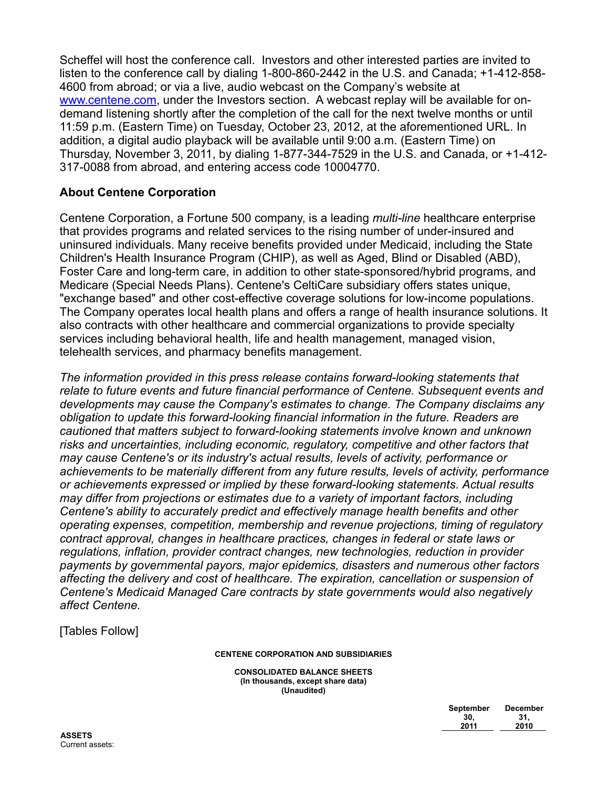Scheffel will host the conference call. Investors and other interested parties are invited to listen to the conference call by dialing 1-800-860-2442 in the U.S. and Canada; +1-412-858- 4600 from abroad; or via a live, audio webcast on the Company's website at [www.centene.com,](http://www.centene.com/) under the Investors section. A webcast replay will be available for ondemand listening shortly after the completion of the call for the next twelve months or until 11:59 p.m. (Eastern Time) on Tuesday, October 23, 2012, at the aforementioned URL. In addition, a digital audio playback will be available until 9:00 a.m. (Eastern Time) on Thursday, November 3, 2011, by dialing 1-877-344-7529 in the U.S. and Canada, or +1-412- 317-0088 from abroad, and entering access code 10004770.

# **About Centene Corporation**

Centene Corporation, a Fortune 500 company, is a leading *multi-line* healthcare enterprise that provides programs and related services to the rising number of under-insured and uninsured individuals. Many receive benefits provided under Medicaid, including the State Children's Health Insurance Program (CHIP), as well as Aged, Blind or Disabled (ABD), Foster Care and long-term care, in addition to other state-sponsored/hybrid programs, and Medicare (Special Needs Plans). Centene's CeltiCare subsidiary offers states unique, "exchange based" and other cost-effective coverage solutions for low-income populations. The Company operates local health plans and offers a range of health insurance solutions. It also contracts with other healthcare and commercial organizations to provide specialty services including behavioral health, life and health management, managed vision, telehealth services, and pharmacy benefits management.

*The information provided in this press release contains forward-looking statements that relate to future events and future financial performance of Centene. Subsequent events and developments may cause the Company's estimates to change. The Company disclaims any obligation to update this forward-looking financial information in the future. Readers are cautioned that matters subject to forward-looking statements involve known and unknown risks and uncertainties, including economic, regulatory, competitive and other factors that may cause Centene's or its industry's actual results, levels of activity, performance or achievements to be materially different from any future results, levels of activity, performance or achievements expressed or implied by these forward-looking statements. Actual results may differ from projections or estimates due to a variety of important factors, including Centene's ability to accurately predict and effectively manage health benefits and other operating expenses, competition, membership and revenue projections, timing of regulatory contract approval, changes in healthcare practices, changes in federal or state laws or regulations, inflation, provider contract changes, new technologies, reduction in provider payments by governmental payors, major epidemics, disasters and numerous other factors affecting the delivery and cost of healthcare. The expiration, cancellation or suspension of Centene's Medicaid Managed Care contracts by state governments would also negatively affect Centene.*

[Tables Follow]

## **CENTENE CORPORATION AND SUBSIDIARIES**

**CONSOLIDATED BALANCE SHEETS (In thousands, except share data) (Unaudited)**

| September | <b>December</b> |
|-----------|-----------------|
| 30,       | 31.             |
| 2011      | 2010            |
|           |                 |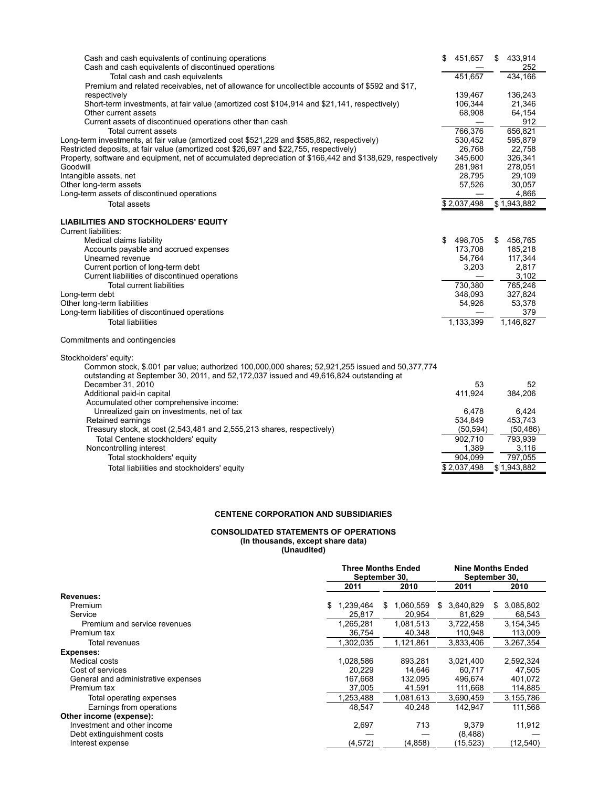| Cash and cash equivalents of continuing operations<br>Cash and cash equivalents of discontinued operations | \$<br>451,657 | \$<br>433,914<br>252 |
|------------------------------------------------------------------------------------------------------------|---------------|----------------------|
| Total cash and cash equivalents                                                                            | 451,657       | 434,166              |
| Premium and related receivables, net of allowance for uncollectible accounts of \$592 and \$17,            |               |                      |
| respectively                                                                                               | 139,467       | 136,243              |
| Short-term investments, at fair value (amortized cost \$104,914 and \$21,141, respectively)                | 106,344       | 21,346               |
| Other current assets                                                                                       | 68,908        | 64,154               |
| Current assets of discontinued operations other than cash                                                  |               | 912                  |
| Total current assets                                                                                       | 766,376       | 656,821              |
| Long-term investments, at fair value (amortized cost \$521,229 and \$585,862, respectively)                | 530,452       | 595,879              |
| Restricted deposits, at fair value (amortized cost \$26,697 and \$22,755, respectively)                    | 26,768        | 22,758               |
| Property, software and equipment, net of accumulated depreciation of \$166,442 and \$138,629, respectively | 345,600       | 326,341              |
| Goodwill                                                                                                   | 281,981       | 278,051              |
| Intangible assets, net                                                                                     | 28,795        | 29,109               |
| Other long-term assets                                                                                     | 57,526        | 30,057               |
| Long-term assets of discontinued operations                                                                |               | 4,866                |
| <b>Total assets</b>                                                                                        | \$2,037,498   | \$1,943,882          |
|                                                                                                            |               |                      |
| <b>LIABILITIES AND STOCKHOLDERS' EQUITY</b>                                                                |               |                      |
| Current liabilities:                                                                                       |               |                      |
| Medical claims liability                                                                                   | \$<br>498,705 | \$<br>456,765        |
| Accounts payable and accrued expenses                                                                      | 173,708       | 185,218              |
| Unearned revenue                                                                                           | 54,764        | 117,344              |
| Current portion of long-term debt                                                                          | 3,203         | 2,817                |
| Current liabilities of discontinued operations                                                             |               | 3,102                |
| <b>Total current liabilities</b>                                                                           | 730,380       | 765,246              |
| Long-term debt                                                                                             | 348,093       | 327,824              |
| Other long-term liabilities                                                                                | 54,926        | 53,378               |
| Long-term liabilities of discontinued operations                                                           |               | 379                  |
| <b>Total liabilities</b>                                                                                   | 1,133,399     | 1,146,827            |
| Commitments and contingencies                                                                              |               |                      |
| Stockholders' equity:                                                                                      |               |                      |
| Common stock, \$.001 par value; authorized 100,000,000 shares; 52,921,255 issued and 50,377,774            |               |                      |
| outstanding at September 30, 2011, and 52,172,037 issued and 49,616,824 outstanding at                     |               |                      |
| December 31, 2010                                                                                          | 53            | 52                   |
| Additional paid-in capital                                                                                 | 411,924       | 384,206              |
| Accumulated other comprehensive income:                                                                    |               |                      |
| Unrealized gain on investments, net of tax                                                                 | 6,478         | 6,424                |
| Retained earnings                                                                                          | 534,849       | 453,743              |
| Treasury stock, at cost (2,543,481 and 2,555,213 shares, respectively)                                     | (50, 594)     | (50, 486)            |
| Total Centene stockholders' equity                                                                         | 902,710       | 793,939              |
| Noncontrolling interest                                                                                    | 1,389         | 3,116                |
| Total stockholders' equity                                                                                 | 904,099       | 797,055              |
| Total liabilities and stockholders' equity                                                                 | \$2,037,498   | \$1,943,882          |
|                                                                                                            |               |                      |

### **CENTENE CORPORATION AND SUBSIDIARIES**

#### **CONSOLIDATED STATEMENTS OF OPERATIONS (In thousands, except share data) (Unaudited)**

|                                     |                 | <b>Three Months Ended</b><br>September 30, |                 | <b>Nine Months Ended</b><br>September 30, |  |
|-------------------------------------|-----------------|--------------------------------------------|-----------------|-------------------------------------------|--|
|                                     | 2011            | 2010                                       | 2011            | 2010                                      |  |
| Revenues:                           |                 |                                            |                 |                                           |  |
| Premium                             | 1,239,464<br>\$ | \$<br>1,060,559                            | 3,640,829<br>S. | 3,085,802<br>\$                           |  |
| Service                             | 25,817          | 20,954                                     | 81,629          | 68,543                                    |  |
| Premium and service revenues        | 1,265,281       | 1,081,513                                  | 3,722,458       | 3,154,345                                 |  |
| Premium tax                         | 36,754          | 40,348                                     | 110,948         | 113,009                                   |  |
| Total revenues                      | 1,302,035       | 1,121,861                                  | 3,833,406       | 3,267,354                                 |  |
| Expenses:                           |                 |                                            |                 |                                           |  |
| Medical costs                       | 1,028,586       | 893,281                                    | 3,021,400       | 2,592,324                                 |  |
| Cost of services                    | 20.229          | 14.646                                     | 60,717          | 47.505                                    |  |
| General and administrative expenses | 167,668         | 132,095                                    | 496,674         | 401,072                                   |  |
| Premium tax                         | 37,005          | 41,591                                     | 111,668         | 114,885                                   |  |
| Total operating expenses            | 1,253,488       | 1,081,613                                  | 3,690,459       | 3,155,786                                 |  |
| Earnings from operations            | 48.547          | 40,248                                     | 142,947         | 111,568                                   |  |
| Other income (expense):             |                 |                                            |                 |                                           |  |
| Investment and other income         | 2,697           | 713                                        | 9,379           | 11,912                                    |  |
| Debt extinguishment costs           |                 |                                            | (8,488)         |                                           |  |
| Interest expense                    | (4, 572)        | (4, 858)                                   | (15, 523)       | (12, 540)                                 |  |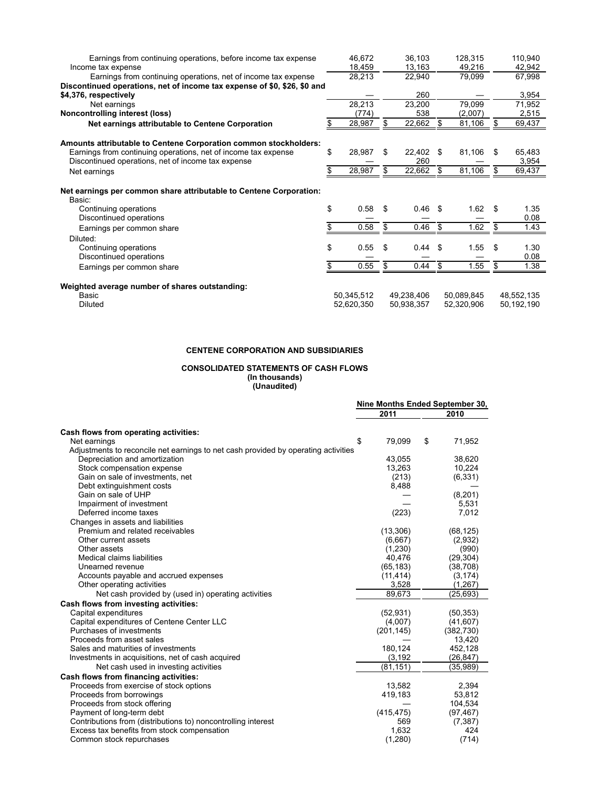| Earnings from continuing operations, before income tax expense<br>Income tax expense                                                       | 46,672<br>18,459 | 36,103<br>13,163 |      | 128,315<br>49,216 |      | 110,940<br>42,942 |
|--------------------------------------------------------------------------------------------------------------------------------------------|------------------|------------------|------|-------------------|------|-------------------|
| Earnings from continuing operations, net of income tax expense<br>Discontinued operations, net of income tax expense of \$0, \$26, \$0 and | 28,213           | 22,940           |      | 79,099            |      | 67,998            |
| \$4,376, respectively                                                                                                                      |                  | 260              |      |                   |      | 3,954             |
| Net earnings                                                                                                                               | 28,213           | 23,200           |      | 79,099            |      | 71,952            |
| Noncontrolling interest (loss)                                                                                                             | (774)            | 538              |      | (2,007)           |      | 2,515             |
| Net earnings attributable to Centene Corporation                                                                                           | 28,987           | \$<br>22,662     | \$   | 81,106            | \$   | 69,437            |
| Amounts attributable to Centene Corporation common stockholders:                                                                           |                  |                  |      |                   |      |                   |
| Earnings from continuing operations, net of income tax expense                                                                             | \$<br>28,987     | \$<br>22,402     | -S   | 81,106            | S    | 65,483            |
| Discontinued operations, net of income tax expense                                                                                         |                  | 260              |      |                   |      | 3,954             |
| Net earnings                                                                                                                               | 28,987           | \$<br>22,662     | \$   | 81,106            | \$   | 69,437            |
| Net earnings per common share attributable to Centene Corporation:<br>Basic:                                                               |                  |                  |      |                   |      |                   |
| Continuing operations<br>Discontinued operations                                                                                           | \$<br>0.58       | \$<br>0.46       | - \$ | 1.62              | - \$ | 1.35<br>0.08      |
| Earnings per common share                                                                                                                  | 0.58             | \$<br>0.46       | \$   | 1.62              | S    | 1.43              |
| Diluted:                                                                                                                                   |                  |                  |      |                   |      |                   |
| Continuing operations                                                                                                                      | \$<br>0.55       | \$<br>0.44       | \$   | 1.55              | \$   | 1.30              |
| Discontinued operations                                                                                                                    |                  |                  |      |                   |      | 0.08              |
| Earnings per common share                                                                                                                  | 0.55             | \$<br>0.44       | \$   | 1.55              | -\$  | 1.38              |
| Weighted average number of shares outstanding:                                                                                             |                  |                  |      |                   |      |                   |
| Basic                                                                                                                                      | 50.345.512       | 49,238,406       |      | 50,089,845        |      | 48,552,135        |
| <b>Diluted</b>                                                                                                                             |                  |                  |      |                   |      |                   |

## **CENTENE CORPORATION AND SUBSIDIARIES**

#### **CONSOLIDATED STATEMENTS OF CASH FLOWS (In thousands)**

**(Unaudited)**

**Nine Months Ended September 30,**

|                                                                                    | 2011         | 2010         |
|------------------------------------------------------------------------------------|--------------|--------------|
|                                                                                    |              |              |
| Cash flows from operating activities:                                              |              |              |
| Net earnings                                                                       | \$<br>79,099 | \$<br>71,952 |
| Adjustments to reconcile net earnings to net cash provided by operating activities |              |              |
| Depreciation and amortization                                                      | 43.055       | 38,620       |
| Stock compensation expense                                                         | 13,263       | 10,224       |
| Gain on sale of investments, net                                                   | (213)        | (6, 331)     |
| Debt extinguishment costs                                                          | 8,488        |              |
| Gain on sale of UHP                                                                |              | (8,201)      |
| Impairment of investment                                                           |              | 5,531        |
| Deferred income taxes                                                              | (223)        | 7,012        |
| Changes in assets and liabilities                                                  |              |              |
| Premium and related receivables                                                    | (13,306)     | (68, 125)    |
| Other current assets                                                               | (6,667)      | (2,932)      |
| Other assets                                                                       | (1,230)      | (990)        |
| Medical claims liabilities                                                         | 40,476       | (29, 304)    |
| Unearned revenue                                                                   | (65, 183)    | (38, 708)    |
| Accounts payable and accrued expenses                                              | (11, 414)    | (3, 174)     |
| Other operating activities                                                         | 3,528        | (1, 267)     |
| Net cash provided by (used in) operating activities                                | 89.673       | (25, 693)    |
| Cash flows from investing activities:                                              |              |              |
| Capital expenditures                                                               | (52, 931)    | (50, 353)    |
| Capital expenditures of Centene Center LLC                                         | (4,007)      | (41, 607)    |
| Purchases of investments                                                           | (201, 145)   | (382, 730)   |
| Proceeds from asset sales                                                          |              | 13,420       |
| Sales and maturities of investments                                                | 180,124      | 452,128      |
| Investments in acquisitions, net of cash acquired                                  | (3, 192)     | (26, 847)    |
| Net cash used in investing activities                                              | (81, 151)    | (35, 989)    |
| Cash flows from financing activities:                                              |              |              |
| Proceeds from exercise of stock options                                            | 13,582       | 2,394        |
| Proceeds from borrowings                                                           | 419,183      | 53,812       |
| Proceeds from stock offering                                                       |              | 104,534      |
| Payment of long-term debt                                                          | (415, 475)   | (97, 467)    |
| Contributions from (distributions to) noncontrolling interest                      | 569          | (7, 387)     |
| Excess tax benefits from stock compensation                                        | 1.632        | 424          |
| Common stock repurchases                                                           | (1,280)      | (714)        |
|                                                                                    |              |              |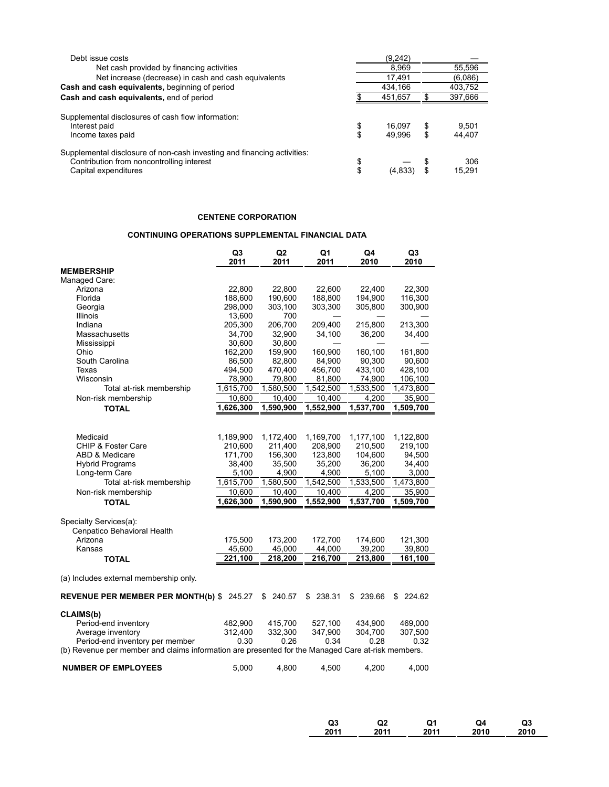| Debt issue costs                                                        | (9, 242)      |    |         |
|-------------------------------------------------------------------------|---------------|----|---------|
| Net cash provided by financing activities                               | 8.969         |    | 55,596  |
| Net increase (decrease) in cash and cash equivalents                    | 17.491        |    | (6,086) |
| Cash and cash equivalents, beginning of period                          | 434,166       |    | 403,752 |
| Cash and cash equivalents, end of period                                | 451,657       |    | 397,666 |
| Supplemental disclosures of cash flow information:                      |               |    |         |
| Interest paid                                                           | \$<br>16,097  | S  | 9,501   |
| Income taxes paid                                                       | \$<br>49.996  | \$ | 44.407  |
| Supplemental disclosure of non-cash investing and financing activities: |               |    |         |
| Contribution from noncontrolling interest                               | \$            |    | 306     |
| Capital expenditures                                                    | \$<br>(4,833) |    | 15.291  |

## **CENTENE CORPORATION**

### **CONTINUING OPERATIONS SUPPLEMENTAL FINANCIAL DATA**

|                                                                                                   | Q <sub>3</sub><br>2011 | Q2<br>2011 | Q1<br>2011   | Q4<br>2010   | Q <sub>3</sub><br>2010 |
|---------------------------------------------------------------------------------------------------|------------------------|------------|--------------|--------------|------------------------|
| <b>MEMBERSHIP</b>                                                                                 |                        |            |              |              |                        |
| Managed Care:                                                                                     |                        |            |              |              |                        |
| Arizona                                                                                           | 22,800                 | 22,800     | 22,600       | 22,400       | 22,300                 |
| Florida                                                                                           | 188,600                | 190,600    | 188,800      | 194,900      | 116,300                |
| Georgia                                                                                           | 298,000                | 303,100    | 303,300      | 305,800      | 300,900                |
| Illinois                                                                                          | 13,600                 | 700        |              |              |                        |
| Indiana                                                                                           | 205,300                | 206,700    | 209,400      | 215,800      | 213,300                |
| Massachusetts                                                                                     | 34,700                 | 32,900     | 34,100       | 36,200       | 34,400                 |
| Mississippi                                                                                       | 30,600                 | 30,800     |              |              |                        |
| Ohio                                                                                              | 162,200                | 159,900    | 160,900      | 160,100      | 161,800                |
| South Carolina                                                                                    | 86,500                 | 82,800     | 84,900       | 90,300       | 90,600                 |
| Texas                                                                                             | 494,500                | 470,400    | 456,700      | 433,100      | 428,100                |
| Wisconsin                                                                                         | 78,900                 | 79,800     | 81,800       | 74,900       | 106,100                |
| Total at-risk membership                                                                          | 1,615,700              | 1,580,500  | 1,542,500    | 1,533,500    | 1,473,800              |
| Non-risk membership                                                                               | 10,600                 | 10,400     | 10,400       | 4,200        | 35,900                 |
| <b>TOTAL</b>                                                                                      | 1,626,300              | 1,590,900  | 1,552,900    | 1,537,700    | 1,509,700              |
|                                                                                                   |                        |            |              |              |                        |
| Medicaid                                                                                          | 1,189,900              | 1,172,400  | 1,169,700    | 1,177,100    | 1,122,800              |
| <b>CHIP &amp; Foster Care</b>                                                                     | 210,600                | 211,400    | 208,900      | 210,500      | 219,100                |
| ABD & Medicare                                                                                    | 171,700                | 156,300    | 123,800      | 104,600      | 94,500                 |
| <b>Hybrid Programs</b>                                                                            | 38,400                 | 35,500     | 35,200       | 36,200       | 34,400                 |
| Long-term Care                                                                                    | 5,100                  | 4,900      | 4,900        | 5,100        | 3,000                  |
| Total at-risk membership                                                                          | 1,615,700              | 1,580,500  | 1,542,500    | 1,533,500    | 1,473,800              |
| Non-risk membership                                                                               | 10,600                 | 10,400     | 10,400       | 4,200        | 35,900                 |
| <b>TOTAL</b>                                                                                      | 1,626,300              | 1,590,900  | 1,552,900    | 1,537,700    | 1,509,700              |
|                                                                                                   |                        |            |              |              |                        |
| Specialty Services(a):                                                                            |                        |            |              |              |                        |
| Cenpatico Behavioral Health                                                                       |                        |            |              |              |                        |
| Arizona                                                                                           | 175,500                | 173,200    | 172,700      | 174,600      | 121,300                |
| Kansas                                                                                            | 45,600                 | 45,000     | 44,000       | 39,200       | 39,800                 |
| <b>TOTAL</b>                                                                                      | 221.100                | 218,200    | 216,700      | 213,800      | 161,100                |
| (a) Includes external membership only.                                                            |                        |            |              |              |                        |
| <b>REVENUE PER MEMBER PER MONTH(b) \$245.27</b>                                                   |                        | \$240.57   | 238.31<br>\$ | 239.66<br>\$ | \$224.62               |
| CLAIMS(b)                                                                                         |                        |            |              |              |                        |
| Period-end inventory                                                                              | 482,900                | 415,700    | 527,100      | 434,900      | 469,000                |
| Average inventory                                                                                 | 312,400                | 332,300    | 347,900      | 304,700      | 307,500                |
| Period-end inventory per member                                                                   | 0.30                   | 0.26       | 0.34         | 0.28         | 0.32                   |
| (b) Revenue per member and claims information are presented for the Managed Care at-risk members. |                        |            |              |              |                        |
| <b>NUMBER OF EMPLOYEES</b>                                                                        | 5,000                  | 4,800      | 4,500        | 4,200        | 4,000                  |

| Q3   | Q2   | Q1   | Q4   | Q3   |
|------|------|------|------|------|
| 2011 | 2011 | 2011 | 2010 | 2010 |